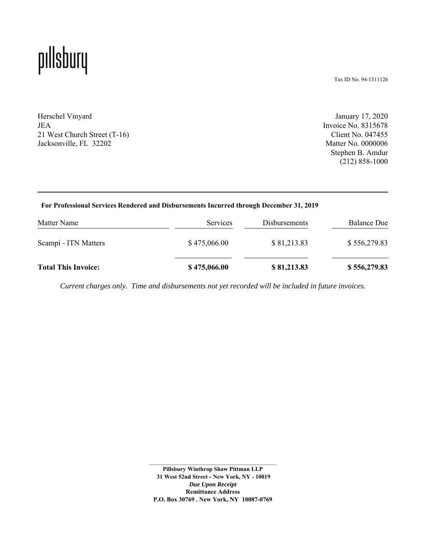## pıllsbury

Tax ID No. 94-1311126

Herschel Vinyard JEA 21 West Church Street (T-16) Jacksonville, FL 32202

January 17, 2020 Invoice No. 8315678 Client No. 047455 Matter No. 0000006 Stephen B. Amdur (212) 858-1000

#### **For Professional Services Rendered and Disbursements Incurred through December 31, 2019**

| Matter Name                | <b>Services</b> | <b>Disbursements</b> | <b>Balance Due</b> |
|----------------------------|-----------------|----------------------|--------------------|
| Scampi - ITN Matters       | \$475,066.00    | \$81,213.83          | \$556,279.83       |
| <b>Total This Invoice:</b> | \$475,066.00    | \$81,213.83          | \$556,279.83       |

*Current charges only. Time and disbursements not yet recorded will be included in future invoices.*

**Pillsbury Winthrop Shaw Pittman LLP 31 West 52nd Street - New York, NY - 10019** *Due Upon Receipt*  **Remittance Address P.O. Box 30769 . New York, NY 10087-0769**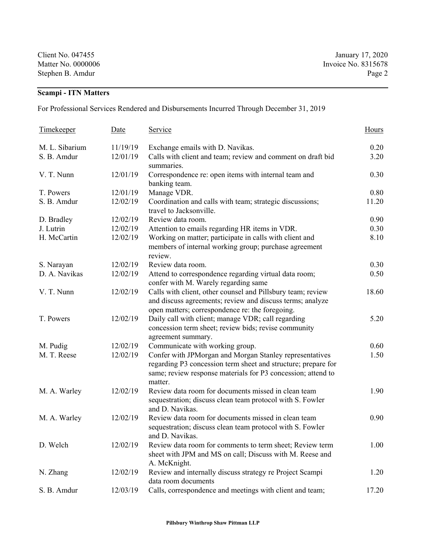Client No. 047455 January 17, 2020 Matter No. 0000006 Invoice No. 8315678 Stephen B. Amdur Page 2

### **Scampi - ITN Matters**

For Professional Services Rendered and Disbursements Incurred Through December 31, 2019

| Timekeeper     | Date     | <u>Service</u>                                                                                                                                                                                      | Hours |
|----------------|----------|-----------------------------------------------------------------------------------------------------------------------------------------------------------------------------------------------------|-------|
| M. L. Sibarium | 11/19/19 | Exchange emails with D. Navikas.                                                                                                                                                                    | 0.20  |
| S. B. Amdur    | 12/01/19 | Calls with client and team; review and comment on draft bid<br>summaries.                                                                                                                           | 3.20  |
| V. T. Nunn     | 12/01/19 | Correspondence re: open items with internal team and<br>banking team.                                                                                                                               | 0.30  |
| T. Powers      | 12/01/19 | Manage VDR.                                                                                                                                                                                         | 0.80  |
| S. B. Amdur    | 12/02/19 | Coordination and calls with team; strategic discussions;<br>travel to Jacksonville.                                                                                                                 | 11.20 |
| D. Bradley     | 12/02/19 | Review data room.                                                                                                                                                                                   | 0.90  |
| J. Lutrin      | 12/02/19 | Attention to emails regarding HR items in VDR.                                                                                                                                                      | 0.30  |
| H. McCartin    | 12/02/19 | Working on matter; participate in calls with client and<br>members of internal working group; purchase agreement<br>review.                                                                         | 8.10  |
| S. Narayan     | 12/02/19 | Review data room.                                                                                                                                                                                   | 0.30  |
| D. A. Navikas  | 12/02/19 | Attend to correspondence regarding virtual data room;<br>confer with M. Warely regarding same                                                                                                       | 0.50  |
| V. T. Nunn     | 12/02/19 | Calls with client, other counsel and Pillsbury team; review<br>and discuss agreements; review and discuss terms; analyze<br>open matters; correspondence re: the foregoing.                         | 18.60 |
| T. Powers      | 12/02/19 | Daily call with client; manage VDR; call regarding<br>concession term sheet; review bids; revise community<br>agreement summary.                                                                    | 5.20  |
| M. Pudig       | 12/02/19 | Communicate with working group.                                                                                                                                                                     | 0.60  |
| M. T. Reese    | 12/02/19 | Confer with JPMorgan and Morgan Stanley representatives<br>regarding P3 concession term sheet and structure; prepare for<br>same; review response materials for P3 concession; attend to<br>matter. | 1.50  |
| M. A. Warley   | 12/02/19 | Review data room for documents missed in clean team<br>sequestration; discuss clean team protocol with S. Fowler<br>and D. Navikas.                                                                 | 1.90  |
| M. A. Warley   | 12/02/19 | Review data room for documents missed in clean team<br>sequestration; discuss clean team protocol with S. Fowler<br>and D. Navikas.                                                                 | 0.90  |
| D. Welch       | 12/02/19 | Review data room for comments to term sheet; Review term<br>sheet with JPM and MS on call; Discuss with M. Reese and<br>A. McKnight.                                                                | 1.00  |
| N. Zhang       | 12/02/19 | Review and internally discuss strategy re Project Scampi<br>data room documents                                                                                                                     | 1.20  |
| S. B. Amdur    | 12/03/19 | Calls, correspondence and meetings with client and team;                                                                                                                                            | 17.20 |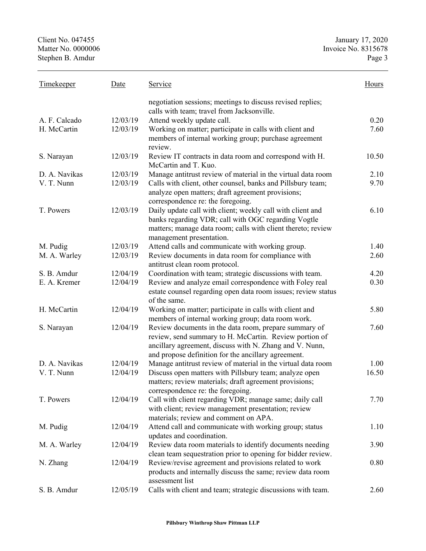| <b>Timekeeper</b> | Date     | Service                                                                                                                                                                                                                           | <b>Hours</b> |
|-------------------|----------|-----------------------------------------------------------------------------------------------------------------------------------------------------------------------------------------------------------------------------------|--------------|
|                   |          | negotiation sessions; meetings to discuss revised replies;<br>calls with team; travel from Jacksonville.                                                                                                                          |              |
| A. F. Calcado     | 12/03/19 | Attend weekly update call.                                                                                                                                                                                                        | 0.20         |
| H. McCartin       | 12/03/19 | Working on matter; participate in calls with client and<br>members of internal working group; purchase agreement<br>review.                                                                                                       | 7.60         |
| S. Narayan        | 12/03/19 | Review IT contracts in data room and correspond with H.<br>McCartin and T. Kuo.                                                                                                                                                   | 10.50        |
| D. A. Navikas     | 12/03/19 | Manage antitrust review of material in the virtual data room                                                                                                                                                                      | 2.10         |
| V. T. Nunn        | 12/03/19 | Calls with client, other counsel, banks and Pillsbury team;<br>analyze open matters; draft agreement provisions;<br>correspondence re: the foregoing.                                                                             | 9.70         |
| T. Powers         | 12/03/19 | Daily update call with client; weekly call with client and<br>banks regarding VDR; call with OGC regarding Vogtle<br>matters; manage data room; calls with client thereto; review<br>management presentation.                     | 6.10         |
| M. Pudig          | 12/03/19 | Attend calls and communicate with working group.                                                                                                                                                                                  | 1.40         |
| M. A. Warley      | 12/03/19 | Review documents in data room for compliance with<br>antitrust clean room protocol.                                                                                                                                               | 2.60         |
| S. B. Amdur       | 12/04/19 | Coordination with team; strategic discussions with team.                                                                                                                                                                          | 4.20         |
| E. A. Kremer      | 12/04/19 | Review and analyze email correspondence with Foley real<br>estate counsel regarding open data room issues; review status<br>of the same.                                                                                          | 0.30         |
| H. McCartin       | 12/04/19 | Working on matter; participate in calls with client and<br>members of internal working group; data room work.                                                                                                                     | 5.80         |
| S. Narayan        | 12/04/19 | Review documents in the data room, prepare summary of<br>review, send summary to H. McCartin. Review portion of<br>ancillary agreement, discuss with N. Zhang and V. Nunn,<br>and propose definition for the ancillary agreement. | 7.60         |
| D. A. Navikas     | 12/04/19 | Manage antitrust review of material in the virtual data room                                                                                                                                                                      | 1.00         |
| V. T. Nunn        | 12/04/19 | Discuss open matters with Pillsbury team; analyze open<br>matters; review materials; draft agreement provisions;<br>correspondence re: the foregoing.                                                                             | 16.50        |
| T. Powers         | 12/04/19 | Call with client regarding VDR; manage same; daily call<br>with client; review management presentation; review<br>materials; review and comment on APA.                                                                           | 7.70         |
| M. Pudig          | 12/04/19 | Attend call and communicate with working group; status<br>updates and coordination.                                                                                                                                               | 1.10         |
| M. A. Warley      | 12/04/19 | Review data room materials to identify documents needing<br>clean team sequestration prior to opening for bidder review.                                                                                                          | 3.90         |
| N. Zhang          | 12/04/19 | Review/revise agreement and provisions related to work<br>products and internally discuss the same; review data room<br>assessment list                                                                                           | 0.80         |
| S. B. Amdur       | 12/05/19 | Calls with client and team; strategic discussions with team.                                                                                                                                                                      | 2.60         |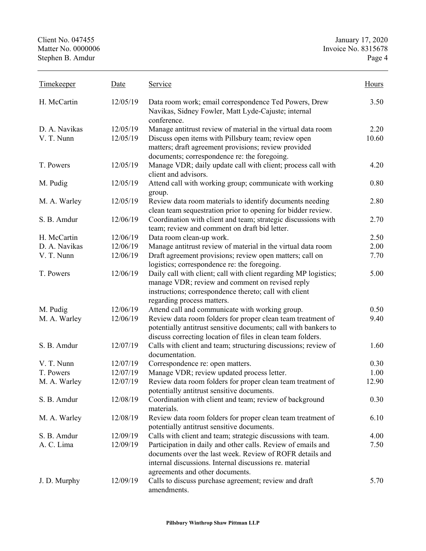| <b>Timekeeper</b> | Date     | Service                                                                                                                                                                                                                | Hours |
|-------------------|----------|------------------------------------------------------------------------------------------------------------------------------------------------------------------------------------------------------------------------|-------|
| H. McCartin       | 12/05/19 | Data room work; email correspondence Ted Powers, Drew<br>Navikas, Sidney Fowler, Matt Lyde-Cajuste; internal<br>conference.                                                                                            | 3.50  |
| D. A. Navikas     | 12/05/19 | Manage antitrust review of material in the virtual data room                                                                                                                                                           | 2.20  |
| V. T. Nunn        | 12/05/19 | Discuss open items with Pillsbury team; review open<br>matters; draft agreement provisions; review provided<br>documents; correspondence re: the foregoing.                                                            | 10.60 |
| T. Powers         | 12/05/19 | Manage VDR; daily update call with client; process call with<br>client and advisors.                                                                                                                                   | 4.20  |
| M. Pudig          | 12/05/19 | Attend call with working group; communicate with working<br>group.                                                                                                                                                     | 0.80  |
| M. A. Warley      | 12/05/19 | Review data room materials to identify documents needing<br>clean team sequestration prior to opening for bidder review.                                                                                               | 2.80  |
| S. B. Amdur       | 12/06/19 | Coordination with client and team; strategic discussions with<br>team; review and comment on draft bid letter.                                                                                                         | 2.70  |
| H. McCartin       | 12/06/19 | Data room clean-up work.                                                                                                                                                                                               | 2.50  |
| D. A. Navikas     | 12/06/19 | Manage antitrust review of material in the virtual data room                                                                                                                                                           | 2.00  |
| V. T. Nunn        | 12/06/19 | Draft agreement provisions; review open matters; call on<br>logistics; correspondence re: the foregoing.                                                                                                               | 7.70  |
| T. Powers         | 12/06/19 | Daily call with client; call with client regarding MP logistics;<br>manage VDR; review and comment on revised reply<br>instructions; correspondence thereto; call with client<br>regarding process matters.            | 5.00  |
| M. Pudig          | 12/06/19 | Attend call and communicate with working group.                                                                                                                                                                        | 0.50  |
| M. A. Warley      | 12/06/19 | Review data room folders for proper clean team treatment of<br>potentially antitrust sensitive documents; call with bankers to<br>discuss correcting location of files in clean team folders.                          | 9.40  |
| S. B. Amdur       | 12/07/19 | Calls with client and team; structuring discussions; review of<br>documentation.                                                                                                                                       | 1.60  |
| V. T. Nunn        | 12/07/19 | Correspondence re: open matters.                                                                                                                                                                                       | 0.30  |
| T. Powers         | 12/07/19 | Manage VDR; review updated process letter.                                                                                                                                                                             | 1.00  |
| M. A. Warley      | 12/07/19 | Review data room folders for proper clean team treatment of<br>potentially antitrust sensitive documents.                                                                                                              | 12.90 |
| S. B. Amdur       | 12/08/19 | Coordination with client and team; review of background<br>materials.                                                                                                                                                  | 0.30  |
| M. A. Warley      | 12/08/19 | Review data room folders for proper clean team treatment of<br>potentially antitrust sensitive documents.                                                                                                              | 6.10  |
| S. B. Amdur       | 12/09/19 | Calls with client and team; strategic discussions with team.                                                                                                                                                           | 4.00  |
| A. C. Lima        | 12/09/19 | Participation in daily and other calls. Review of emails and<br>documents over the last week. Review of ROFR details and<br>internal discussions. Internal discussions re. material<br>agreements and other documents. | 7.50  |
| J. D. Murphy      | 12/09/19 | Calls to discuss purchase agreement; review and draft<br>amendments.                                                                                                                                                   | 5.70  |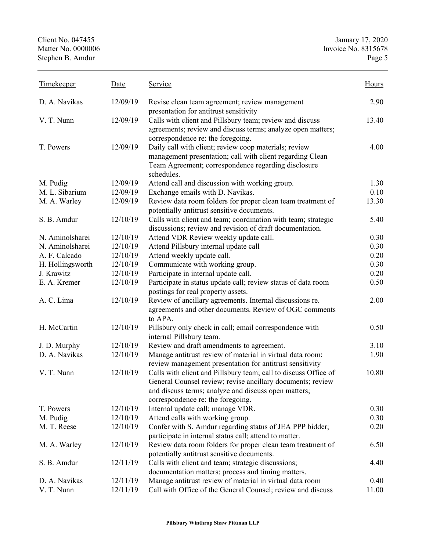| <b>Timekeeper</b> | Date     | Service                                                                                                                 | Hours |
|-------------------|----------|-------------------------------------------------------------------------------------------------------------------------|-------|
| D. A. Navikas     | 12/09/19 | Revise clean team agreement; review management<br>presentation for antitrust sensitivity                                | 2.90  |
| V. T. Nunn        | 12/09/19 | Calls with client and Pillsbury team; review and discuss<br>agreements; review and discuss terms; analyze open matters; | 13.40 |
|                   |          | correspondence re: the foregoing.                                                                                       |       |
| T. Powers         | 12/09/19 | Daily call with client; review coop materials; review<br>management presentation; call with client regarding Clean      | 4.00  |
|                   |          | Team Agreement; correspondence regarding disclosure<br>schedules.                                                       |       |
| M. Pudig          | 12/09/19 | Attend call and discussion with working group.                                                                          | 1.30  |
| M. L. Sibarium    | 12/09/19 | Exchange emails with D. Navikas.                                                                                        | 0.10  |
| M. A. Warley      | 12/09/19 | Review data room folders for proper clean team treatment of<br>potentially antitrust sensitive documents.               | 13.30 |
| S. B. Amdur       | 12/10/19 | Calls with client and team; coordination with team; strategic                                                           | 5.40  |
|                   |          | discussions; review and revision of draft documentation.                                                                |       |
| N. Aminolsharei   | 12/10/19 | Attend VDR Review weekly update call.                                                                                   | 0.30  |
| N. Aminolsharei   | 12/10/19 | Attend Pillsbury internal update call                                                                                   | 0.30  |
| A. F. Calcado     | 12/10/19 | Attend weekly update call.                                                                                              | 0.20  |
| H. Hollingsworth  | 12/10/19 | Communicate with working group.                                                                                         | 0.30  |
| J. Krawitz        | 12/10/19 | Participate in internal update call.                                                                                    | 0.20  |
| E. A. Kremer      | 12/10/19 | Participate in status update call; review status of data room<br>postings for real property assets.                     | 0.50  |
| A. C. Lima        | 12/10/19 | Review of ancillary agreements. Internal discussions re.                                                                | 2.00  |
|                   |          | agreements and other documents. Review of OGC comments<br>to APA.                                                       |       |
| H. McCartin       | 12/10/19 | Pillsbury only check in call; email correspondence with<br>internal Pillsbury team.                                     | 0.50  |
| J. D. Murphy      | 12/10/19 | Review and draft amendments to agreement.                                                                               | 3.10  |
| D. A. Navikas     | 12/10/19 | Manage antitrust review of material in virtual data room;                                                               | 1.90  |
|                   |          | review management presentation for antitrust sensitivity                                                                |       |
| V. T. Nunn        | 12/10/19 | Calls with client and Pillsbury team; call to discuss Office of                                                         | 10.80 |
|                   |          | General Counsel review; revise ancillary documents; review                                                              |       |
|                   |          | and discuss terms; analyze and discuss open matters;                                                                    |       |
|                   |          | correspondence re: the foregoing.                                                                                       |       |
| T. Powers         | 12/10/19 | Internal update call; manage VDR.                                                                                       | 0.30  |
| M. Pudig          | 12/10/19 | Attend calls with working group.                                                                                        | 0.30  |
| M. T. Reese       | 12/10/19 | Confer with S. Amdur regarding status of JEA PPP bidder;                                                                | 0.20  |
|                   |          | participate in internal status call; attend to matter.                                                                  |       |
| M. A. Warley      | 12/10/19 | Review data room folders for proper clean team treatment of<br>potentially antitrust sensitive documents.               | 6.50  |
| S. B. Amdur       | 12/11/19 | Calls with client and team; strategic discussions;                                                                      | 4.40  |
|                   |          | documentation matters; process and timing matters.                                                                      |       |
| D. A. Navikas     | 12/11/19 | Manage antitrust review of material in virtual data room                                                                | 0.40  |
| V. T. Nunn        | 12/11/19 | Call with Office of the General Counsel; review and discuss                                                             | 11.00 |
|                   |          |                                                                                                                         |       |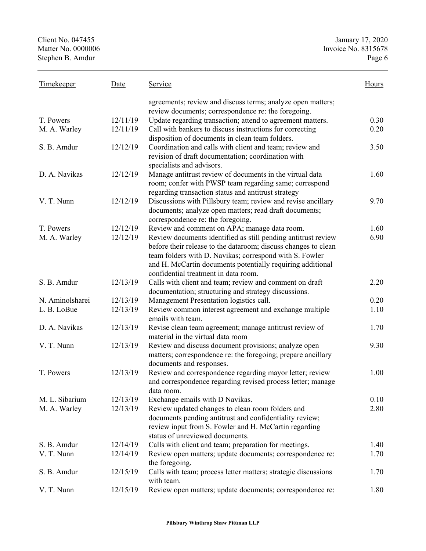| agreements; review and discuss terms; analyze open matters;<br>review documents; correspondence re: the foregoing.<br>12/11/19<br>0.30<br>T. Powers<br>Update regarding transaction; attend to agreement matters.<br>Call with bankers to discuss instructions for correcting<br>0.20<br>M. A. Warley<br>12/11/19<br>disposition of documents in clean team folders.<br>12/12/19<br>S. B. Amdur<br>Coordination and calls with client and team; review and<br>3.50<br>revision of draft documentation; coordination with<br>specialists and advisors.<br>D. A. Navikas<br>12/12/19<br>Manage antitrust review of documents in the virtual data<br>1.60<br>room; confer with PWSP team regarding same; correspond<br>regarding transaction status and antitrust strategy<br>V. T. Nunn<br>12/12/19<br>Discussions with Pillsbury team; review and revise ancillary<br>9.70<br>documents; analyze open matters; read draft documents;<br>correspondence re: the foregoing.<br>12/12/19<br>T. Powers<br>Review and comment on APA; manage data room.<br>1.60<br>Review documents identified as still pending antitrust review<br>6.90<br>M. A. Warley<br>12/12/19<br>before their release to the dataroom; discuss changes to clean<br>team folders with D. Navikas; correspond with S. Fowler<br>and H. McCartin documents potentially requiring additional<br>confidential treatment in data room.<br>S. B. Amdur<br>12/13/19<br>Calls with client and team; review and comment on draft<br>2.20<br>documentation; structuring and strategy discussions.<br>0.20<br>12/13/19<br>Management Presentation logistics call.<br>N. Aminolsharei<br>L. B. LoBue<br>12/13/19<br>Review common interest agreement and exchange multiple<br>1.10<br>emails with team.<br>12/13/19<br>D. A. Navikas<br>Revise clean team agreement; manage antitrust review of<br>1.70<br>material in the virtual data room<br>V. T. Nunn<br>12/13/19<br>Review and discuss document provisions; analyze open<br>9.30<br>matters; correspondence re: the foregoing; prepare ancillary<br>documents and responses.<br>12/13/19<br>Review and correspondence regarding mayor letter; review<br>T. Powers<br>1.00<br>and correspondence regarding revised process letter; manage<br>data room.<br>12/13/19<br>Exchange emails with D Navikas.<br>0.10<br>M. L. Sibarium<br>Review updated changes to clean room folders and<br>2.80<br>M. A. Warley<br>12/13/19<br>documents pending antitrust and confidentiality review;<br>review input from S. Fowler and H. McCartin regarding<br>status of unreviewed documents.<br>Calls with client and team; preparation for meetings.<br>S. B. Amdur<br>12/14/19<br>1.40<br>Review open matters; update documents; correspondence re:<br>V. T. Nunn<br>12/14/19<br>1.70<br>the foregoing.<br>12/15/19<br>Calls with team; process letter matters; strategic discussions<br>S. B. Amdur<br>1.70<br>with team.<br>V. T. Nunn<br>12/15/19<br>Review open matters; update documents; correspondence re:<br>1.80 | <b>Timekeeper</b> | Date | Service | Hours |
|-------------------------------------------------------------------------------------------------------------------------------------------------------------------------------------------------------------------------------------------------------------------------------------------------------------------------------------------------------------------------------------------------------------------------------------------------------------------------------------------------------------------------------------------------------------------------------------------------------------------------------------------------------------------------------------------------------------------------------------------------------------------------------------------------------------------------------------------------------------------------------------------------------------------------------------------------------------------------------------------------------------------------------------------------------------------------------------------------------------------------------------------------------------------------------------------------------------------------------------------------------------------------------------------------------------------------------------------------------------------------------------------------------------------------------------------------------------------------------------------------------------------------------------------------------------------------------------------------------------------------------------------------------------------------------------------------------------------------------------------------------------------------------------------------------------------------------------------------------------------------------------------------------------------------------------------------------------------------------------------------------------------------------------------------------------------------------------------------------------------------------------------------------------------------------------------------------------------------------------------------------------------------------------------------------------------------------------------------------------------------------------------------------------------------------------------------------------------------------------------------------------------------------------------------------------------------------------------------------------------------------------------------------------------------------------------------------------------------------------------------------------------------------------------------------------------------------------------------------------------------------------------------------------------------------------------------------------------------------------------------------------------------|-------------------|------|---------|-------|
|                                                                                                                                                                                                                                                                                                                                                                                                                                                                                                                                                                                                                                                                                                                                                                                                                                                                                                                                                                                                                                                                                                                                                                                                                                                                                                                                                                                                                                                                                                                                                                                                                                                                                                                                                                                                                                                                                                                                                                                                                                                                                                                                                                                                                                                                                                                                                                                                                                                                                                                                                                                                                                                                                                                                                                                                                                                                                                                                                                                                                         |                   |      |         |       |
|                                                                                                                                                                                                                                                                                                                                                                                                                                                                                                                                                                                                                                                                                                                                                                                                                                                                                                                                                                                                                                                                                                                                                                                                                                                                                                                                                                                                                                                                                                                                                                                                                                                                                                                                                                                                                                                                                                                                                                                                                                                                                                                                                                                                                                                                                                                                                                                                                                                                                                                                                                                                                                                                                                                                                                                                                                                                                                                                                                                                                         |                   |      |         |       |
|                                                                                                                                                                                                                                                                                                                                                                                                                                                                                                                                                                                                                                                                                                                                                                                                                                                                                                                                                                                                                                                                                                                                                                                                                                                                                                                                                                                                                                                                                                                                                                                                                                                                                                                                                                                                                                                                                                                                                                                                                                                                                                                                                                                                                                                                                                                                                                                                                                                                                                                                                                                                                                                                                                                                                                                                                                                                                                                                                                                                                         |                   |      |         |       |
|                                                                                                                                                                                                                                                                                                                                                                                                                                                                                                                                                                                                                                                                                                                                                                                                                                                                                                                                                                                                                                                                                                                                                                                                                                                                                                                                                                                                                                                                                                                                                                                                                                                                                                                                                                                                                                                                                                                                                                                                                                                                                                                                                                                                                                                                                                                                                                                                                                                                                                                                                                                                                                                                                                                                                                                                                                                                                                                                                                                                                         |                   |      |         |       |
|                                                                                                                                                                                                                                                                                                                                                                                                                                                                                                                                                                                                                                                                                                                                                                                                                                                                                                                                                                                                                                                                                                                                                                                                                                                                                                                                                                                                                                                                                                                                                                                                                                                                                                                                                                                                                                                                                                                                                                                                                                                                                                                                                                                                                                                                                                                                                                                                                                                                                                                                                                                                                                                                                                                                                                                                                                                                                                                                                                                                                         |                   |      |         |       |
|                                                                                                                                                                                                                                                                                                                                                                                                                                                                                                                                                                                                                                                                                                                                                                                                                                                                                                                                                                                                                                                                                                                                                                                                                                                                                                                                                                                                                                                                                                                                                                                                                                                                                                                                                                                                                                                                                                                                                                                                                                                                                                                                                                                                                                                                                                                                                                                                                                                                                                                                                                                                                                                                                                                                                                                                                                                                                                                                                                                                                         |                   |      |         |       |
|                                                                                                                                                                                                                                                                                                                                                                                                                                                                                                                                                                                                                                                                                                                                                                                                                                                                                                                                                                                                                                                                                                                                                                                                                                                                                                                                                                                                                                                                                                                                                                                                                                                                                                                                                                                                                                                                                                                                                                                                                                                                                                                                                                                                                                                                                                                                                                                                                                                                                                                                                                                                                                                                                                                                                                                                                                                                                                                                                                                                                         |                   |      |         |       |
|                                                                                                                                                                                                                                                                                                                                                                                                                                                                                                                                                                                                                                                                                                                                                                                                                                                                                                                                                                                                                                                                                                                                                                                                                                                                                                                                                                                                                                                                                                                                                                                                                                                                                                                                                                                                                                                                                                                                                                                                                                                                                                                                                                                                                                                                                                                                                                                                                                                                                                                                                                                                                                                                                                                                                                                                                                                                                                                                                                                                                         |                   |      |         |       |
|                                                                                                                                                                                                                                                                                                                                                                                                                                                                                                                                                                                                                                                                                                                                                                                                                                                                                                                                                                                                                                                                                                                                                                                                                                                                                                                                                                                                                                                                                                                                                                                                                                                                                                                                                                                                                                                                                                                                                                                                                                                                                                                                                                                                                                                                                                                                                                                                                                                                                                                                                                                                                                                                                                                                                                                                                                                                                                                                                                                                                         |                   |      |         |       |
|                                                                                                                                                                                                                                                                                                                                                                                                                                                                                                                                                                                                                                                                                                                                                                                                                                                                                                                                                                                                                                                                                                                                                                                                                                                                                                                                                                                                                                                                                                                                                                                                                                                                                                                                                                                                                                                                                                                                                                                                                                                                                                                                                                                                                                                                                                                                                                                                                                                                                                                                                                                                                                                                                                                                                                                                                                                                                                                                                                                                                         |                   |      |         |       |
|                                                                                                                                                                                                                                                                                                                                                                                                                                                                                                                                                                                                                                                                                                                                                                                                                                                                                                                                                                                                                                                                                                                                                                                                                                                                                                                                                                                                                                                                                                                                                                                                                                                                                                                                                                                                                                                                                                                                                                                                                                                                                                                                                                                                                                                                                                                                                                                                                                                                                                                                                                                                                                                                                                                                                                                                                                                                                                                                                                                                                         |                   |      |         |       |
|                                                                                                                                                                                                                                                                                                                                                                                                                                                                                                                                                                                                                                                                                                                                                                                                                                                                                                                                                                                                                                                                                                                                                                                                                                                                                                                                                                                                                                                                                                                                                                                                                                                                                                                                                                                                                                                                                                                                                                                                                                                                                                                                                                                                                                                                                                                                                                                                                                                                                                                                                                                                                                                                                                                                                                                                                                                                                                                                                                                                                         |                   |      |         |       |
|                                                                                                                                                                                                                                                                                                                                                                                                                                                                                                                                                                                                                                                                                                                                                                                                                                                                                                                                                                                                                                                                                                                                                                                                                                                                                                                                                                                                                                                                                                                                                                                                                                                                                                                                                                                                                                                                                                                                                                                                                                                                                                                                                                                                                                                                                                                                                                                                                                                                                                                                                                                                                                                                                                                                                                                                                                                                                                                                                                                                                         |                   |      |         |       |
|                                                                                                                                                                                                                                                                                                                                                                                                                                                                                                                                                                                                                                                                                                                                                                                                                                                                                                                                                                                                                                                                                                                                                                                                                                                                                                                                                                                                                                                                                                                                                                                                                                                                                                                                                                                                                                                                                                                                                                                                                                                                                                                                                                                                                                                                                                                                                                                                                                                                                                                                                                                                                                                                                                                                                                                                                                                                                                                                                                                                                         |                   |      |         |       |
|                                                                                                                                                                                                                                                                                                                                                                                                                                                                                                                                                                                                                                                                                                                                                                                                                                                                                                                                                                                                                                                                                                                                                                                                                                                                                                                                                                                                                                                                                                                                                                                                                                                                                                                                                                                                                                                                                                                                                                                                                                                                                                                                                                                                                                                                                                                                                                                                                                                                                                                                                                                                                                                                                                                                                                                                                                                                                                                                                                                                                         |                   |      |         |       |
|                                                                                                                                                                                                                                                                                                                                                                                                                                                                                                                                                                                                                                                                                                                                                                                                                                                                                                                                                                                                                                                                                                                                                                                                                                                                                                                                                                                                                                                                                                                                                                                                                                                                                                                                                                                                                                                                                                                                                                                                                                                                                                                                                                                                                                                                                                                                                                                                                                                                                                                                                                                                                                                                                                                                                                                                                                                                                                                                                                                                                         |                   |      |         |       |
|                                                                                                                                                                                                                                                                                                                                                                                                                                                                                                                                                                                                                                                                                                                                                                                                                                                                                                                                                                                                                                                                                                                                                                                                                                                                                                                                                                                                                                                                                                                                                                                                                                                                                                                                                                                                                                                                                                                                                                                                                                                                                                                                                                                                                                                                                                                                                                                                                                                                                                                                                                                                                                                                                                                                                                                                                                                                                                                                                                                                                         |                   |      |         |       |
|                                                                                                                                                                                                                                                                                                                                                                                                                                                                                                                                                                                                                                                                                                                                                                                                                                                                                                                                                                                                                                                                                                                                                                                                                                                                                                                                                                                                                                                                                                                                                                                                                                                                                                                                                                                                                                                                                                                                                                                                                                                                                                                                                                                                                                                                                                                                                                                                                                                                                                                                                                                                                                                                                                                                                                                                                                                                                                                                                                                                                         |                   |      |         |       |
|                                                                                                                                                                                                                                                                                                                                                                                                                                                                                                                                                                                                                                                                                                                                                                                                                                                                                                                                                                                                                                                                                                                                                                                                                                                                                                                                                                                                                                                                                                                                                                                                                                                                                                                                                                                                                                                                                                                                                                                                                                                                                                                                                                                                                                                                                                                                                                                                                                                                                                                                                                                                                                                                                                                                                                                                                                                                                                                                                                                                                         |                   |      |         |       |
|                                                                                                                                                                                                                                                                                                                                                                                                                                                                                                                                                                                                                                                                                                                                                                                                                                                                                                                                                                                                                                                                                                                                                                                                                                                                                                                                                                                                                                                                                                                                                                                                                                                                                                                                                                                                                                                                                                                                                                                                                                                                                                                                                                                                                                                                                                                                                                                                                                                                                                                                                                                                                                                                                                                                                                                                                                                                                                                                                                                                                         |                   |      |         |       |
|                                                                                                                                                                                                                                                                                                                                                                                                                                                                                                                                                                                                                                                                                                                                                                                                                                                                                                                                                                                                                                                                                                                                                                                                                                                                                                                                                                                                                                                                                                                                                                                                                                                                                                                                                                                                                                                                                                                                                                                                                                                                                                                                                                                                                                                                                                                                                                                                                                                                                                                                                                                                                                                                                                                                                                                                                                                                                                                                                                                                                         |                   |      |         |       |
|                                                                                                                                                                                                                                                                                                                                                                                                                                                                                                                                                                                                                                                                                                                                                                                                                                                                                                                                                                                                                                                                                                                                                                                                                                                                                                                                                                                                                                                                                                                                                                                                                                                                                                                                                                                                                                                                                                                                                                                                                                                                                                                                                                                                                                                                                                                                                                                                                                                                                                                                                                                                                                                                                                                                                                                                                                                                                                                                                                                                                         |                   |      |         |       |
|                                                                                                                                                                                                                                                                                                                                                                                                                                                                                                                                                                                                                                                                                                                                                                                                                                                                                                                                                                                                                                                                                                                                                                                                                                                                                                                                                                                                                                                                                                                                                                                                                                                                                                                                                                                                                                                                                                                                                                                                                                                                                                                                                                                                                                                                                                                                                                                                                                                                                                                                                                                                                                                                                                                                                                                                                                                                                                                                                                                                                         |                   |      |         |       |
|                                                                                                                                                                                                                                                                                                                                                                                                                                                                                                                                                                                                                                                                                                                                                                                                                                                                                                                                                                                                                                                                                                                                                                                                                                                                                                                                                                                                                                                                                                                                                                                                                                                                                                                                                                                                                                                                                                                                                                                                                                                                                                                                                                                                                                                                                                                                                                                                                                                                                                                                                                                                                                                                                                                                                                                                                                                                                                                                                                                                                         |                   |      |         |       |
|                                                                                                                                                                                                                                                                                                                                                                                                                                                                                                                                                                                                                                                                                                                                                                                                                                                                                                                                                                                                                                                                                                                                                                                                                                                                                                                                                                                                                                                                                                                                                                                                                                                                                                                                                                                                                                                                                                                                                                                                                                                                                                                                                                                                                                                                                                                                                                                                                                                                                                                                                                                                                                                                                                                                                                                                                                                                                                                                                                                                                         |                   |      |         |       |
|                                                                                                                                                                                                                                                                                                                                                                                                                                                                                                                                                                                                                                                                                                                                                                                                                                                                                                                                                                                                                                                                                                                                                                                                                                                                                                                                                                                                                                                                                                                                                                                                                                                                                                                                                                                                                                                                                                                                                                                                                                                                                                                                                                                                                                                                                                                                                                                                                                                                                                                                                                                                                                                                                                                                                                                                                                                                                                                                                                                                                         |                   |      |         |       |
|                                                                                                                                                                                                                                                                                                                                                                                                                                                                                                                                                                                                                                                                                                                                                                                                                                                                                                                                                                                                                                                                                                                                                                                                                                                                                                                                                                                                                                                                                                                                                                                                                                                                                                                                                                                                                                                                                                                                                                                                                                                                                                                                                                                                                                                                                                                                                                                                                                                                                                                                                                                                                                                                                                                                                                                                                                                                                                                                                                                                                         |                   |      |         |       |
|                                                                                                                                                                                                                                                                                                                                                                                                                                                                                                                                                                                                                                                                                                                                                                                                                                                                                                                                                                                                                                                                                                                                                                                                                                                                                                                                                                                                                                                                                                                                                                                                                                                                                                                                                                                                                                                                                                                                                                                                                                                                                                                                                                                                                                                                                                                                                                                                                                                                                                                                                                                                                                                                                                                                                                                                                                                                                                                                                                                                                         |                   |      |         |       |
|                                                                                                                                                                                                                                                                                                                                                                                                                                                                                                                                                                                                                                                                                                                                                                                                                                                                                                                                                                                                                                                                                                                                                                                                                                                                                                                                                                                                                                                                                                                                                                                                                                                                                                                                                                                                                                                                                                                                                                                                                                                                                                                                                                                                                                                                                                                                                                                                                                                                                                                                                                                                                                                                                                                                                                                                                                                                                                                                                                                                                         |                   |      |         |       |
|                                                                                                                                                                                                                                                                                                                                                                                                                                                                                                                                                                                                                                                                                                                                                                                                                                                                                                                                                                                                                                                                                                                                                                                                                                                                                                                                                                                                                                                                                                                                                                                                                                                                                                                                                                                                                                                                                                                                                                                                                                                                                                                                                                                                                                                                                                                                                                                                                                                                                                                                                                                                                                                                                                                                                                                                                                                                                                                                                                                                                         |                   |      |         |       |
|                                                                                                                                                                                                                                                                                                                                                                                                                                                                                                                                                                                                                                                                                                                                                                                                                                                                                                                                                                                                                                                                                                                                                                                                                                                                                                                                                                                                                                                                                                                                                                                                                                                                                                                                                                                                                                                                                                                                                                                                                                                                                                                                                                                                                                                                                                                                                                                                                                                                                                                                                                                                                                                                                                                                                                                                                                                                                                                                                                                                                         |                   |      |         |       |
|                                                                                                                                                                                                                                                                                                                                                                                                                                                                                                                                                                                                                                                                                                                                                                                                                                                                                                                                                                                                                                                                                                                                                                                                                                                                                                                                                                                                                                                                                                                                                                                                                                                                                                                                                                                                                                                                                                                                                                                                                                                                                                                                                                                                                                                                                                                                                                                                                                                                                                                                                                                                                                                                                                                                                                                                                                                                                                                                                                                                                         |                   |      |         |       |
|                                                                                                                                                                                                                                                                                                                                                                                                                                                                                                                                                                                                                                                                                                                                                                                                                                                                                                                                                                                                                                                                                                                                                                                                                                                                                                                                                                                                                                                                                                                                                                                                                                                                                                                                                                                                                                                                                                                                                                                                                                                                                                                                                                                                                                                                                                                                                                                                                                                                                                                                                                                                                                                                                                                                                                                                                                                                                                                                                                                                                         |                   |      |         |       |
|                                                                                                                                                                                                                                                                                                                                                                                                                                                                                                                                                                                                                                                                                                                                                                                                                                                                                                                                                                                                                                                                                                                                                                                                                                                                                                                                                                                                                                                                                                                                                                                                                                                                                                                                                                                                                                                                                                                                                                                                                                                                                                                                                                                                                                                                                                                                                                                                                                                                                                                                                                                                                                                                                                                                                                                                                                                                                                                                                                                                                         |                   |      |         |       |
|                                                                                                                                                                                                                                                                                                                                                                                                                                                                                                                                                                                                                                                                                                                                                                                                                                                                                                                                                                                                                                                                                                                                                                                                                                                                                                                                                                                                                                                                                                                                                                                                                                                                                                                                                                                                                                                                                                                                                                                                                                                                                                                                                                                                                                                                                                                                                                                                                                                                                                                                                                                                                                                                                                                                                                                                                                                                                                                                                                                                                         |                   |      |         |       |
|                                                                                                                                                                                                                                                                                                                                                                                                                                                                                                                                                                                                                                                                                                                                                                                                                                                                                                                                                                                                                                                                                                                                                                                                                                                                                                                                                                                                                                                                                                                                                                                                                                                                                                                                                                                                                                                                                                                                                                                                                                                                                                                                                                                                                                                                                                                                                                                                                                                                                                                                                                                                                                                                                                                                                                                                                                                                                                                                                                                                                         |                   |      |         |       |
|                                                                                                                                                                                                                                                                                                                                                                                                                                                                                                                                                                                                                                                                                                                                                                                                                                                                                                                                                                                                                                                                                                                                                                                                                                                                                                                                                                                                                                                                                                                                                                                                                                                                                                                                                                                                                                                                                                                                                                                                                                                                                                                                                                                                                                                                                                                                                                                                                                                                                                                                                                                                                                                                                                                                                                                                                                                                                                                                                                                                                         |                   |      |         |       |
|                                                                                                                                                                                                                                                                                                                                                                                                                                                                                                                                                                                                                                                                                                                                                                                                                                                                                                                                                                                                                                                                                                                                                                                                                                                                                                                                                                                                                                                                                                                                                                                                                                                                                                                                                                                                                                                                                                                                                                                                                                                                                                                                                                                                                                                                                                                                                                                                                                                                                                                                                                                                                                                                                                                                                                                                                                                                                                                                                                                                                         |                   |      |         |       |
|                                                                                                                                                                                                                                                                                                                                                                                                                                                                                                                                                                                                                                                                                                                                                                                                                                                                                                                                                                                                                                                                                                                                                                                                                                                                                                                                                                                                                                                                                                                                                                                                                                                                                                                                                                                                                                                                                                                                                                                                                                                                                                                                                                                                                                                                                                                                                                                                                                                                                                                                                                                                                                                                                                                                                                                                                                                                                                                                                                                                                         |                   |      |         |       |
|                                                                                                                                                                                                                                                                                                                                                                                                                                                                                                                                                                                                                                                                                                                                                                                                                                                                                                                                                                                                                                                                                                                                                                                                                                                                                                                                                                                                                                                                                                                                                                                                                                                                                                                                                                                                                                                                                                                                                                                                                                                                                                                                                                                                                                                                                                                                                                                                                                                                                                                                                                                                                                                                                                                                                                                                                                                                                                                                                                                                                         |                   |      |         |       |
|                                                                                                                                                                                                                                                                                                                                                                                                                                                                                                                                                                                                                                                                                                                                                                                                                                                                                                                                                                                                                                                                                                                                                                                                                                                                                                                                                                                                                                                                                                                                                                                                                                                                                                                                                                                                                                                                                                                                                                                                                                                                                                                                                                                                                                                                                                                                                                                                                                                                                                                                                                                                                                                                                                                                                                                                                                                                                                                                                                                                                         |                   |      |         |       |
|                                                                                                                                                                                                                                                                                                                                                                                                                                                                                                                                                                                                                                                                                                                                                                                                                                                                                                                                                                                                                                                                                                                                                                                                                                                                                                                                                                                                                                                                                                                                                                                                                                                                                                                                                                                                                                                                                                                                                                                                                                                                                                                                                                                                                                                                                                                                                                                                                                                                                                                                                                                                                                                                                                                                                                                                                                                                                                                                                                                                                         |                   |      |         |       |
|                                                                                                                                                                                                                                                                                                                                                                                                                                                                                                                                                                                                                                                                                                                                                                                                                                                                                                                                                                                                                                                                                                                                                                                                                                                                                                                                                                                                                                                                                                                                                                                                                                                                                                                                                                                                                                                                                                                                                                                                                                                                                                                                                                                                                                                                                                                                                                                                                                                                                                                                                                                                                                                                                                                                                                                                                                                                                                                                                                                                                         |                   |      |         |       |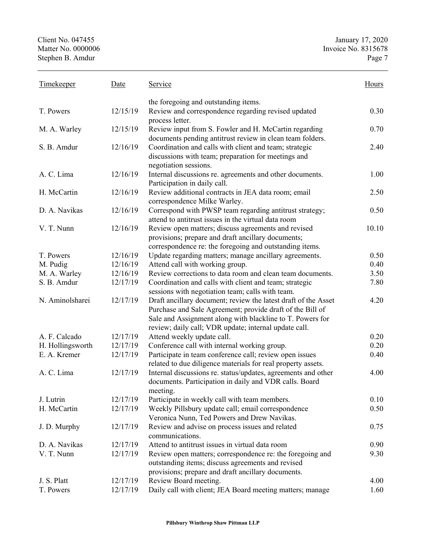Client No. 047455 January 17, 2020 Matter No. 0000006 Invoice No. 8315678 Stephen B. Amdur Page 7 Timekeeper Date Service Service Hours the foregoing and outstanding items. T. Powers 12/15/19 Review and correspondence regarding revised updated process letter. 0.30 M. A. Warley 12/15/19 Review input from S. Fowler and H. McCartin regarding documents pending antitrust review in clean team folders. 0.70 S. B. Amdur 12/16/19 Coordination and calls with client and team; strategic discussions with team; preparation for meetings and negotiation sessions. 2.40 A. C. Lima 12/16/19 Internal discussions re. agreements and other documents. Participation in daily call. 1.00 H. McCartin 12/16/19 Review additional contracts in JEA data room; email correspondence Milke Warley. 2.50 D. A. Navikas 12/16/19 Correspond with PWSP team regarding antitrust strategy; attend to antitrust issues in the virtual data room 0.50 V. T. Nunn 12/16/19 Review open matters; discuss agreements and revised provisions; prepare and draft ancillary documents; correspondence re: the foregoing and outstanding items. 10.10 T. Powers 12/16/19 Update regarding matters; manage ancillary agreements. 0.50 M. Pudig 12/16/19 Attend call with working group. 0.40 M. A. Warley 12/16/19 Review corrections to data room and clean team documents. 3.50 S. B. Amdur 12/17/19 Coordination and calls with client and team; strategic sessions with negotiation team; calls with team. 7.80 N. Aminolsharei 12/17/19 Draft ancillary document; review the latest draft of the Asset Purchase and Sale Agreement; provide draft of the Bill of Sale and Assignment along with blackline to T. Powers for review; daily call; VDR update; internal update call. 4.20 A. F. Calcado 12/17/19 Attend weekly update call. 0.20 0.20 H. Hollingsworth 12/17/19 Conference call with internal working group. 0.20<br>E. A. Kremer 12/17/19 Participate in team conference call; review open issues 0.40 12/17/19 Participate in team conference call; review open issues related to due diligence materials for real property assets. 0.40 A. C. Lima 12/17/19 Internal discussions re. status/updates, agreements and other documents. Participation in daily and VDR calls. Board meeting. 4.00 J. Lutrin 12/17/19 Participate in weekly call with team members. 0.10 H. McCartin 12/17/19 Weekly Pillsbury update call; email correspondence Veronica Nunn, Ted Powers and Drew Navikas. 0.50 J. D. Murphy 12/17/19 Review and advise on process issues and related communications. 0.75 D. A. Navikas 12/17/19 Attend to antitrust issues in virtual data room 0.90 V. T. Nunn 12/17/19 Review open matters; correspondence re: the foregoing and outstanding items; discuss agreements and revised provisions; prepare and draft ancillary documents. 9.30 J. S. Platt 12/17/19 Review Board meeting. 4.00 T. Powers 12/17/19 Daily call with client; JEA Board meeting matters; manage 1.60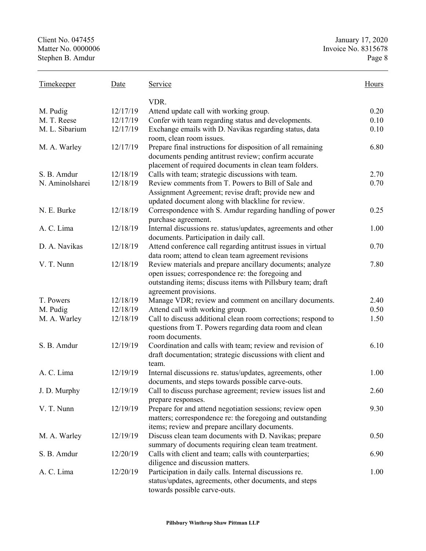| <b>Timekeeper</b> | Date     | <u>Service</u>                                                | Hours |
|-------------------|----------|---------------------------------------------------------------|-------|
|                   |          | VDR.                                                          |       |
| M. Pudig          | 12/17/19 | Attend update call with working group.                        | 0.20  |
| M. T. Reese       | 12/17/19 | Confer with team regarding status and developments.           | 0.10  |
| M. L. Sibarium    | 12/17/19 | Exchange emails with D. Navikas regarding status, data        | 0.10  |
|                   |          | room, clean room issues.                                      |       |
| M. A. Warley      | 12/17/19 | Prepare final instructions for disposition of all remaining   | 6.80  |
|                   |          | documents pending antitrust review; confirm accurate          |       |
|                   |          | placement of required documents in clean team folders.        |       |
| S. B. Amdur       | 12/18/19 | Calls with team; strategic discussions with team.             | 2.70  |
| N. Aminolsharei   | 12/18/19 | Review comments from T. Powers to Bill of Sale and            | 0.70  |
|                   |          | Assignment Agreement; revise draft; provide new and           |       |
|                   |          | updated document along with blackline for review.             |       |
| N. E. Burke       | 12/18/19 | Correspondence with S. Amdur regarding handling of power      | 0.25  |
|                   |          | purchase agreement.                                           |       |
| A. C. Lima        | 12/18/19 | Internal discussions re. status/updates, agreements and other | 1.00  |
|                   |          | documents. Participation in daily call.                       |       |
| D. A. Navikas     | 12/18/19 | Attend conference call regarding antitrust issues in virtual  | 0.70  |
|                   |          | data room; attend to clean team agreement revisions           |       |
| V. T. Nunn        | 12/18/19 | Review materials and prepare ancillary documents; analyze     | 7.80  |
|                   |          | open issues; correspondence re: the foregoing and             |       |
|                   |          | outstanding items; discuss items with Pillsbury team; draft   |       |
|                   |          | agreement provisions.                                         |       |
| T. Powers         | 12/18/19 | Manage VDR; review and comment on ancillary documents.        | 2.40  |
| M. Pudig          | 12/18/19 | Attend call with working group.                               | 0.50  |
| M. A. Warley      | 12/18/19 | Call to discuss additional clean room corrections; respond to | 1.50  |
|                   |          | questions from T. Powers regarding data room and clean        |       |
|                   |          | room documents.                                               |       |
| S. B. Amdur       | 12/19/19 | Coordination and calls with team; review and revision of      | 6.10  |
|                   |          | draft documentation; strategic discussions with client and    |       |
|                   |          | team.                                                         |       |
| A. C. Lima        | 12/19/19 | Internal discussions re. status/updates, agreements, other    | 1.00  |
|                   |          | documents, and steps towards possible carve-outs.             |       |
| J. D. Murphy      | 12/19/19 | Call to discuss purchase agreement; review issues list and    | 2.60  |
|                   |          | prepare responses.                                            |       |
| V. T. Nunn        | 12/19/19 | Prepare for and attend negotiation sessions; review open      | 9.30  |
|                   |          | matters; correspondence re: the foregoing and outstanding     |       |
|                   |          | items; review and prepare ancillary documents.                |       |
| M. A. Warley      | 12/19/19 | Discuss clean team documents with D. Navikas; prepare         | 0.50  |
|                   |          | summary of documents requiring clean team treatment.          |       |
| S. B. Amdur       | 12/20/19 | Calls with client and team; calls with counterparties;        | 6.90  |
|                   |          | diligence and discussion matters.                             |       |
| A. C. Lima        | 12/20/19 | Participation in daily calls. Internal discussions re.        | 1.00  |
|                   |          | status/updates, agreements, other documents, and steps        |       |
|                   |          | towards possible carve-outs.                                  |       |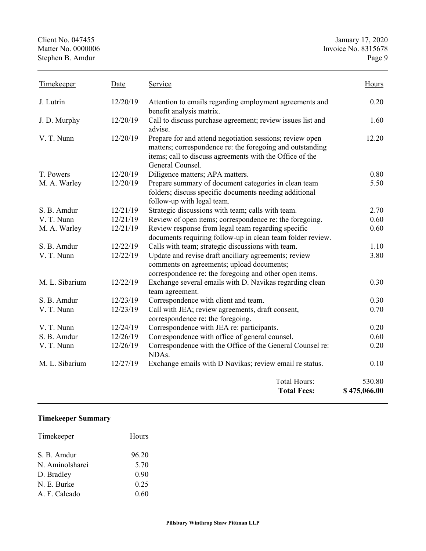Client No. 047455<br>
Matter No. 0000006<br>
Matter No. 0000006<br>
1993 15678<br>
The Univoide No. 8315678 Invoice No. 8315678<br>Page 9 Stephen B. Amdur

| Timekeeper     | Date     | Service                                                                                                                                                                                               |                        |
|----------------|----------|-------------------------------------------------------------------------------------------------------------------------------------------------------------------------------------------------------|------------------------|
| J. Lutrin      | 12/20/19 | Attention to emails regarding employment agreements and<br>benefit analysis matrix.                                                                                                                   | 0.20                   |
| J. D. Murphy   | 12/20/19 | Call to discuss purchase agreement; review issues list and<br>advise.                                                                                                                                 | 1.60                   |
| V. T. Nunn     | 12/20/19 | Prepare for and attend negotiation sessions; review open<br>matters; correspondence re: the foregoing and outstanding<br>items; call to discuss agreements with the Office of the<br>General Counsel. |                        |
| T. Powers      | 12/20/19 | Diligence matters; APA matters.                                                                                                                                                                       | 0.80                   |
| M. A. Warley   | 12/20/19 | Prepare summary of document categories in clean team<br>folders; discuss specific documents needing additional<br>follow-up with legal team.                                                          | 5.50                   |
| S. B. Amdur    | 12/21/19 | Strategic discussions with team; calls with team.                                                                                                                                                     | 2.70                   |
| V. T. Nunn     | 12/21/19 | Review of open items; correspondence re: the foregoing.                                                                                                                                               | 0.60                   |
| M. A. Warley   | 12/21/19 | Review response from legal team regarding specific<br>documents requiring follow-up in clean team folder review.                                                                                      |                        |
| S. B. Amdur    | 12/22/19 | Calls with team; strategic discussions with team.                                                                                                                                                     | 1.10                   |
| V. T. Nunn     | 12/22/19 | Update and revise draft ancillary agreements; review<br>comments on agreements; upload documents;<br>correspondence re: the foregoing and other open items.                                           | 3.80                   |
| M. L. Sibarium | 12/22/19 | Exchange several emails with D. Navikas regarding clean<br>team agreement.                                                                                                                            | 0.30                   |
| S. B. Amdur    | 12/23/19 | Correspondence with client and team.                                                                                                                                                                  | 0.30                   |
| V. T. Nunn     | 12/23/19 | Call with JEA; review agreements, draft consent,<br>correspondence re: the foregoing.                                                                                                                 | 0.70                   |
| V. T. Nunn     | 12/24/19 | Correspondence with JEA re: participants.                                                                                                                                                             | 0.20                   |
| S. B. Amdur    | 12/26/19 | Correspondence with office of general counsel.                                                                                                                                                        | 0.60                   |
| V. T. Nunn     | 12/26/19 | Correspondence with the Office of the General Counsel re:<br>NDAs.                                                                                                                                    | 0.20                   |
| M. L. Sibarium | 12/27/19 | Exchange emails with D Navikas; review email re status.                                                                                                                                               | 0.10                   |
|                |          | <b>Total Hours:</b><br><b>Total Fees:</b>                                                                                                                                                             | 530.80<br>\$475,066.00 |

## **Timekeeper Summary**

| Timekeeper      | Hours |
|-----------------|-------|
| S. B. Amdur     | 96.20 |
| N. Aminolsharei | 5.70  |
| D. Bradley      | 0.90  |
| N. E. Burke     | 0.25  |
| A. F. Calcado   | 0.60  |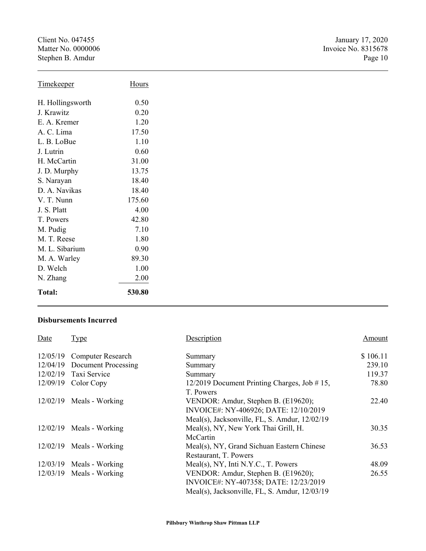Client No. 047455<br>
Matter No. 0000006<br>
Matter No. 0000006<br>
1993 15678<br>
The Univoide No. 8315678 Stephen B. Amdur

| <b>Timekeeper</b> | Hours  |
|-------------------|--------|
| H. Hollingsworth  | 0.50   |
| J. Krawitz        | 0.20   |
| E. A. Kremer      | 1.20   |
| A. C. Lima        | 17.50  |
| L. B. LoBue       | 1.10   |
| J. Lutrin         | 0.60   |
| H. McCartin       | 31.00  |
| J. D. Murphy      | 13.75  |
| S. Narayan        | 18.40  |
| D. A. Navikas     | 18.40  |
| V. T. Nunn        | 175.60 |
| J. S. Platt       | 4.00   |
| T. Powers         | 42.80  |
| M. Pudig          | 7.10   |
| M. T. Reese       | 1.80   |
| M. L. Sibarium    | 0.90   |
| M. A. Warley      | 89.30  |
| D. Welch          | 1.00   |
| N. Zhang          | 2.00   |
| <b>Total:</b>     | 530.80 |

#### **Disbursements Incurred**

| Date     | Type                       | Description                                   | Amount   |
|----------|----------------------------|-----------------------------------------------|----------|
| 12/05/19 | <b>Computer Research</b>   | Summary                                       | \$106.11 |
| 12/04/19 | <b>Document Processing</b> | Summary                                       | 239.10   |
| 12/02/19 | Taxi Service               | Summary                                       | 119.37   |
| 12/09/19 | Color Copy                 | 12/2019 Document Printing Charges, Job #15,   | 78.80    |
|          |                            | T. Powers                                     |          |
|          | $12/02/19$ Meals - Working | VENDOR: Amdur, Stephen B. (E19620);           | 22.40    |
|          |                            | INVOICE#: NY-406926; DATE: 12/10/2019         |          |
|          |                            | Meal(s), Jacksonville, FL, S. Amdur, 12/02/19 |          |
|          | $12/02/19$ Meals - Working | Meal(s), NY, New York Thai Grill, H.          | 30.35    |
|          |                            | McCartin                                      |          |
|          | $12/02/19$ Meals - Working | Meal(s), NY, Grand Sichuan Eastern Chinese    | 36.53    |
|          |                            | Restaurant, T. Powers                         |          |
| 12/03/19 | Meals - Working            | Meal(s), NY, Inti N.Y.C., T. Powers           | 48.09    |
|          | $12/03/19$ Meals - Working | VENDOR: Amdur, Stephen B. (E19620);           | 26.55    |
|          |                            | INVOICE#: NY-407358; DATE: 12/23/2019         |          |
|          |                            | Meal(s), Jacksonville, FL, S. Amdur, 12/03/19 |          |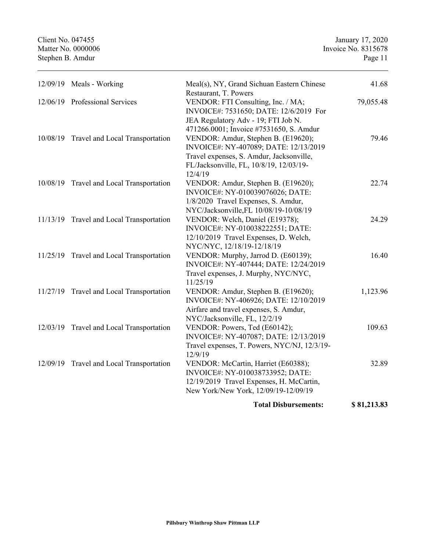Client No. 047455 January 17, 2020 Matter No. 0000006 Invoice No. 8315678 Stephen B. Amdur Page 11 12/09/19 Meals - Working Meal(s), NY, Grand Sichuan Eastern Chinese Restaurant, T. Powers 41.68 12/06/19 Professional Services VENDOR: FTI Consulting, Inc. / MA; INVOICE#: 7531650; DATE: 12/6/2019 For JEA Regulatory Adv - 19; FTI Job N. 471266.0001; Invoice #7531650, S. Amdur 79,055.48 10/08/19 Travel and Local Transportation VENDOR: Amdur, Stephen B. (E19620); INVOICE#: NY-407089; DATE: 12/13/2019 Travel expenses, S. Amdur, Jacksonville, FL/Jacksonville, FL, 10/8/19, 12/03/19- 12/4/19 79.46 10/08/19 Travel and Local Transportation VENDOR: Amdur, Stephen B. (E19620); INVOICE#: NY-010039076026; DATE: 1/8/2020 Travel Expenses, S. Amdur, NYC/Jacksonville,FL 10/08/19-10/08/19 22.74 11/13/19 Travel and Local Transportation VENDOR: Welch, Daniel (E19378); INVOICE#: NY-010038222551; DATE: 12/10/2019 Travel Expenses, D. Welch, NYC/NYC, 12/18/19-12/18/19 24.29 11/25/19 Travel and Local Transportation VENDOR: Murphy, Jarrod D. (E60139); INVOICE#: NY-407444; DATE: 12/24/2019 Travel expenses, J. Murphy, NYC/NYC, 11/25/19 16.40 11/27/19 Travel and Local Transportation VENDOR: Amdur, Stephen B. (E19620); INVOICE#: NY-406926; DATE: 12/10/2019 Airfare and travel expenses, S. Amdur, NYC/Jacksonville, FL, 12/2/19 1,123.96 12/03/19 Travel and Local Transportation VENDOR: Powers, Ted (E60142); INVOICE#: NY-407087; DATE: 12/13/2019 Travel expenses, T. Powers, NYC/NJ, 12/3/19- 12/9/19 109.63 12/09/19 Travel and Local Transportation VENDOR: McCartin, Harriet (E60388); INVOICE#: NY-010038733952; DATE: 12/19/2019 Travel Expenses, H. McCartin, New York/New York, 12/09/19-12/09/19 32.89

**Total Disbursements: \$ 81,213.83**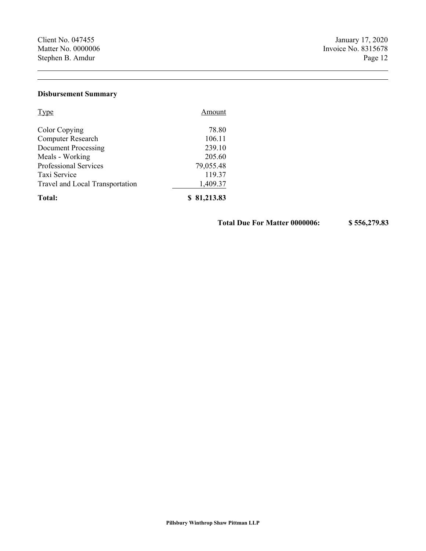### **Disbursement Summary**

| <b>Type</b>                     | Amount      |  |
|---------------------------------|-------------|--|
| Color Copying                   | 78.80       |  |
| Computer Research               | 106.11      |  |
| <b>Document Processing</b>      | 239.10      |  |
| Meals - Working                 | 205.60      |  |
| Professional Services           | 79,055.48   |  |
| Taxi Service                    | 119.37      |  |
| Travel and Local Transportation | 1,409.37    |  |
| Total:                          | \$81,213.83 |  |

**Total Due For Matter 0000006: \$ 556,279.83**